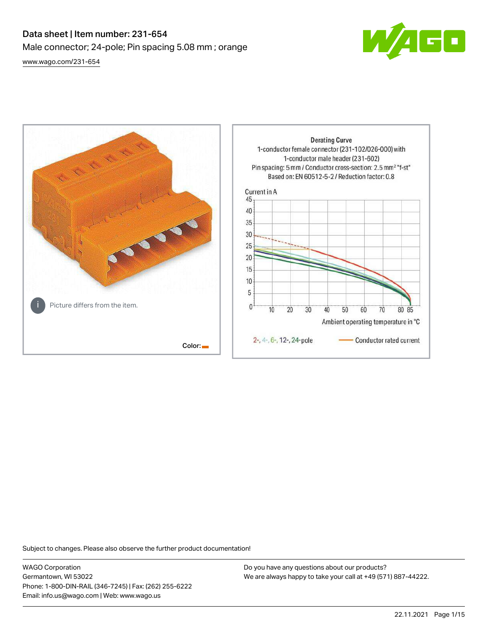# Data sheet | Item number: 231-654 Male connector; 24-pole; Pin spacing 5.08 mm ; orange [www.wago.com/231-654](http://www.wago.com/231-654)



**Derating Curve** 1-conductor female connector (231-102/026-000) with 1-conductor male header (231-602) Pin spacing: 5 mm / Conductor cross-section: 2.5 mm<sup>2</sup> "f-st" Based on: EN 60512-5-2 / Reduction factor: 0.8 Current in A 45 40 35 30 25  $20$ 15 10 5 Picture differs from the item.  $\mathbf{0}$  $\overline{10}$ 20 30 40 50 60 70 80 85 Ambient operating temperature in °C 2-, 4-, 6-, 12-, 24-pole Conductor rated current Color:

Subject to changes. Please also observe the further product documentation!

WAGO Corporation Germantown, WI 53022 Phone: 1-800-DIN-RAIL (346-7245) | Fax: (262) 255-6222 Email: info.us@wago.com | Web: www.wago.us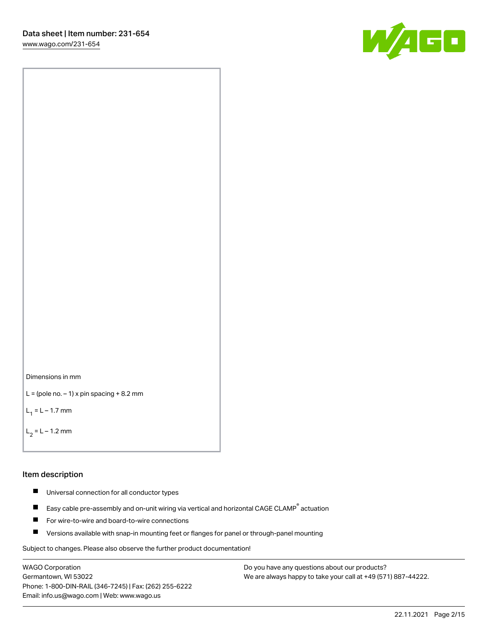[www.wago.com/231-654](http://www.wago.com/231-654)





```
L = (pole no. -1) x pin spacing +8.2 mm
```
 $L_1 = L - 1.7$  mm

```
L_2 = L - 1.2 mm
```
#### Item description

- $\blacksquare$ Universal connection for all conductor types
- Easy cable pre-assembly and on-unit wiring via vertical and horizontal CAGE CLAMP<sup>®</sup> actuation  $\blacksquare$
- П For wire-to-wire and board-to-wire connections
- $\blacksquare$ Versions available with snap-in mounting feet or flanges for panel or through-panel mounting

Subject to changes. Please also observe the further product documentation!

WAGO Corporation Germantown, WI 53022 Phone: 1-800-DIN-RAIL (346-7245) | Fax: (262) 255-6222 Email: info.us@wago.com | Web: www.wago.us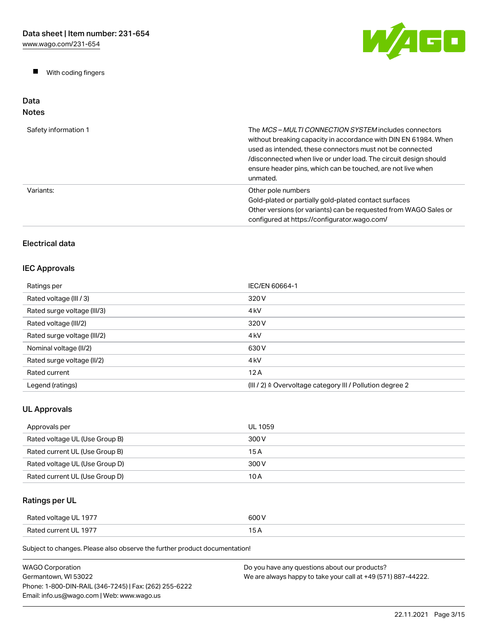$\blacksquare$ With coding fingers



#### Data Notes

| Safety information 1 | The MCS-MULTI CONNECTION SYSTEM includes connectors<br>without breaking capacity in accordance with DIN EN 61984. When<br>used as intended, these connectors must not be connected<br>/disconnected when live or under load. The circuit design should<br>ensure header pins, which can be touched, are not live when<br>unmated. |
|----------------------|-----------------------------------------------------------------------------------------------------------------------------------------------------------------------------------------------------------------------------------------------------------------------------------------------------------------------------------|
| Variants:            | Other pole numbers<br>Gold-plated or partially gold-plated contact surfaces<br>Other versions (or variants) can be requested from WAGO Sales or<br>configured at https://configurator.wago.com/                                                                                                                                   |

## Electrical data

## IEC Approvals

| Ratings per                 | IEC/EN 60664-1                                                       |
|-----------------------------|----------------------------------------------------------------------|
| Rated voltage (III / 3)     | 320 V                                                                |
| Rated surge voltage (III/3) | 4 <sub>kV</sub>                                                      |
| Rated voltage (III/2)       | 320 V                                                                |
| Rated surge voltage (III/2) | 4 <sub>k</sub> V                                                     |
| Nominal voltage (II/2)      | 630 V                                                                |
| Rated surge voltage (II/2)  | 4 <sub>k</sub> V                                                     |
| Rated current               | 12A                                                                  |
| Legend (ratings)            | (III / 2) $\triangleq$ Overvoltage category III / Pollution degree 2 |

## UL Approvals

| Approvals per                  | UL 1059 |
|--------------------------------|---------|
| Rated voltage UL (Use Group B) | 300 V   |
| Rated current UL (Use Group B) | 15 A    |
| Rated voltage UL (Use Group D) | 300 V   |
| Rated current UL (Use Group D) | 10 A    |

## Ratings per UL

| Rated voltage UL 1977 | 600 V |
|-----------------------|-------|
| Rated current UL 1977 | . .   |

| <b>WAGO Corporation</b>                                | Do you have any questions about our products?                 |
|--------------------------------------------------------|---------------------------------------------------------------|
| Germantown. WI 53022                                   | We are always happy to take your call at +49 (571) 887-44222. |
| Phone: 1-800-DIN-RAIL (346-7245)   Fax: (262) 255-6222 |                                                               |
| Email: info.us@wago.com   Web: www.wago.us             |                                                               |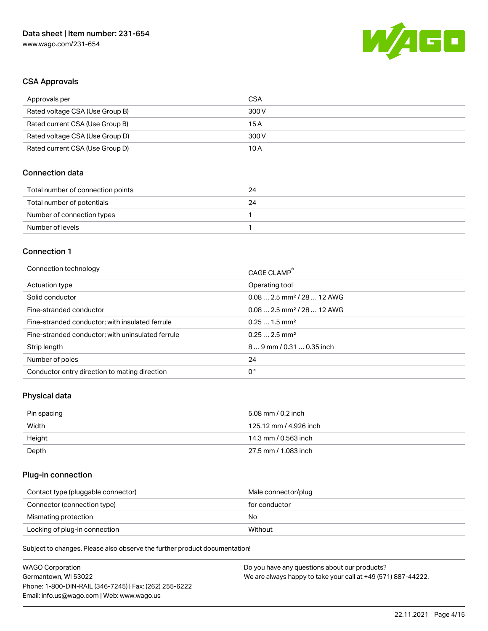

## CSA Approvals

| Approvals per                   | CSA   |
|---------------------------------|-------|
| Rated voltage CSA (Use Group B) | 300 V |
| Rated current CSA (Use Group B) | 15 A  |
| Rated voltage CSA (Use Group D) | 300 V |
| Rated current CSA (Use Group D) | 10 A  |

### Connection data

| Total number of connection points | 24 |
|-----------------------------------|----|
| Total number of potentials        | 24 |
| Number of connection types        |    |
| Number of levels                  |    |

#### Connection 1

| Connection technology                             | CAGE CLAMP <sup>®</sup>                |
|---------------------------------------------------|----------------------------------------|
| Actuation type                                    | Operating tool                         |
| Solid conductor                                   | $0.082.5$ mm <sup>2</sup> / 28  12 AWG |
| Fine-stranded conductor                           | $0.082.5$ mm <sup>2</sup> / 28  12 AWG |
| Fine-stranded conductor; with insulated ferrule   | $0.251.5$ mm <sup>2</sup>              |
| Fine-stranded conductor; with uninsulated ferrule | $0.252.5$ mm <sup>2</sup>              |
| Strip length                                      | $89$ mm / 0.31  0.35 inch              |
| Number of poles                                   | 24                                     |
| Conductor entry direction to mating direction     | 0°                                     |

### Physical data

| Pin spacing | 5.08 mm / 0.2 inch     |
|-------------|------------------------|
| Width       | 125.12 mm / 4.926 inch |
| Height      | 14.3 mm / 0.563 inch   |
| Depth       | 27.5 mm / 1.083 inch   |

## Plug-in connection

| Contact type (pluggable connector) | Male connector/plug |
|------------------------------------|---------------------|
| Connector (connection type)        | for conductor       |
| Mismating protection               | No.                 |
| Locking of plug-in connection      | Without             |

| <b>WAGO Corporation</b>                                | Do you have any questions about our products?                 |
|--------------------------------------------------------|---------------------------------------------------------------|
| Germantown, WI 53022                                   | We are always happy to take your call at +49 (571) 887-44222. |
| Phone: 1-800-DIN-RAIL (346-7245)   Fax: (262) 255-6222 |                                                               |
| Email: info.us@wago.com   Web: www.wago.us             |                                                               |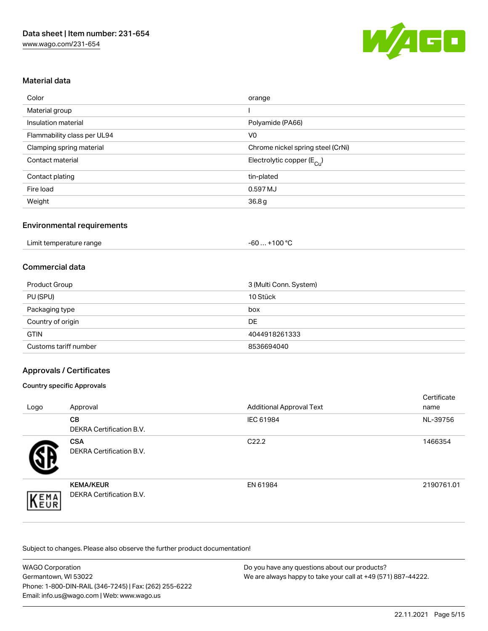

## Material data

| Color                       | orange                                |
|-----------------------------|---------------------------------------|
| Material group              |                                       |
| Insulation material         | Polyamide (PA66)                      |
| Flammability class per UL94 | V <sub>0</sub>                        |
| Clamping spring material    | Chrome nickel spring steel (CrNi)     |
| Contact material            | Electrolytic copper $(E_{\text{Cl}})$ |
| Contact plating             | tin-plated                            |
| Fire load                   | 0.597 MJ                              |
| Weight                      | 36.8 <sub>g</sub>                     |

### Environmental requirements

| Limit temperature range | $-60+100 °C$ |  |
|-------------------------|--------------|--|
|-------------------------|--------------|--|

### Commercial data

| <b>Product Group</b>  | 3 (Multi Conn. System) |
|-----------------------|------------------------|
| PU (SPU)              | 10 Stück               |
| Packaging type        | box                    |
| Country of origin     | <b>DE</b>              |
| <b>GTIN</b>           | 4044918261333          |
| Customs tariff number | 8536694040             |

## Approvals / Certificates

#### Country specific Approvals

| Logo | Approval                                            | <b>Additional Approval Text</b> | Certificate<br>name |
|------|-----------------------------------------------------|---------------------------------|---------------------|
|      | <b>CB</b><br><b>DEKRA Certification B.V.</b>        | IEC 61984                       | NL-39756            |
|      | <b>CSA</b><br><b>DEKRA Certification B.V.</b>       | C <sub>22.2</sub>               | 1466354             |
| EMA  | <b>KEMA/KEUR</b><br><b>DEKRA Certification B.V.</b> | EN 61984                        | 2190761.01          |

| <b>WAGO Corporation</b>                                | Do you have any questions about our products?                 |
|--------------------------------------------------------|---------------------------------------------------------------|
| Germantown, WI 53022                                   | We are always happy to take your call at +49 (571) 887-44222. |
| Phone: 1-800-DIN-RAIL (346-7245)   Fax: (262) 255-6222 |                                                               |
| Email: info.us@wago.com   Web: www.wago.us             |                                                               |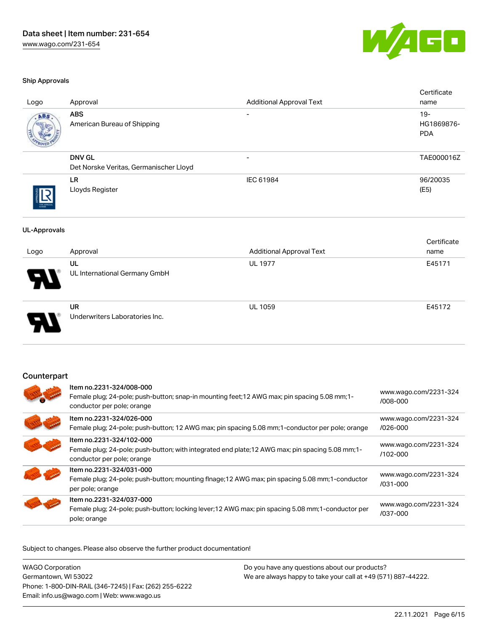

#### Ship Approvals

| Logo                | Approval                                                                                                                                                    | <b>Additional Approval Text</b> | Certificate<br>name                |
|---------------------|-------------------------------------------------------------------------------------------------------------------------------------------------------------|---------------------------------|------------------------------------|
|                     | <b>ABS</b><br>American Bureau of Shipping                                                                                                                   |                                 | $19 -$<br>HG1869876-<br><b>PDA</b> |
|                     | <b>DNV GL</b><br>Det Norske Veritas, Germanischer Lloyd                                                                                                     |                                 | TAE000016Z                         |
|                     | <b>LR</b><br>Lloyds Register                                                                                                                                | IEC 61984                       | 96/20035<br>(E5)                   |
| <b>UL-Approvals</b> |                                                                                                                                                             |                                 |                                    |
| Logo                | Approval                                                                                                                                                    | <b>Additional Approval Text</b> | Certificate<br>name                |
|                     | UL<br>UL International Germany GmbH                                                                                                                         | <b>UL 1977</b>                  | E45171                             |
|                     | <b>UR</b><br>Underwriters Laboratories Inc.                                                                                                                 | <b>UL 1059</b>                  | E45172                             |
| Counterpart         |                                                                                                                                                             |                                 |                                    |
|                     | Item no.2231-324/008-000<br>Female plug; 24-pole; push-button; snap-in mounting feet; 12 AWG max; pin spacing 5.08 mm; 1-<br>conductor per pole; orange     |                                 | www.wago.com/2231-324<br>/008-000  |
|                     | Item no.2231-324/026-000<br>Female plug; 24-pole; push-button; 12 AWG max; pin spacing 5.08 mm; 1-conductor per pole; orange                                |                                 | www.wago.com/2231-324<br>/026-000  |
|                     | Item no.2231-324/102-000<br>Female plug; 24-pole; push-button; with integrated end plate; 12 AWG max; pin spacing 5.08 mm; 1-<br>conductor per pole; orange |                                 | www.wago.com/2231-324<br>/102-000  |
|                     | Item no.2231-324/031-000<br>Female plug; 24-pole; push-button; mounting flnage; 12 AWG max; pin spacing 5.08 mm; 1-conductor                                |                                 | www.wago.com/2231-324<br>/031-000  |

per pole; orange Item no.2231-324/037-000 Female plug; 24-pole; push-button; locking lever;12 AWG max; pin spacing 5.08 mm;1-conductor per pole; orange [www.wago.com/2231-324](https://www.wago.com/2231-324/037-000) [/037-000](https://www.wago.com/2231-324/037-000)

Subject to changes. Please also observe the further product documentation!

WAGO Corporation Germantown, WI 53022 Phone: 1-800-DIN-RAIL (346-7245) | Fax: (262) 255-6222 Email: info.us@wago.com | Web: www.wago.us Do you have any questions about our products? We are always happy to take your call at +49 (571) 887-44222.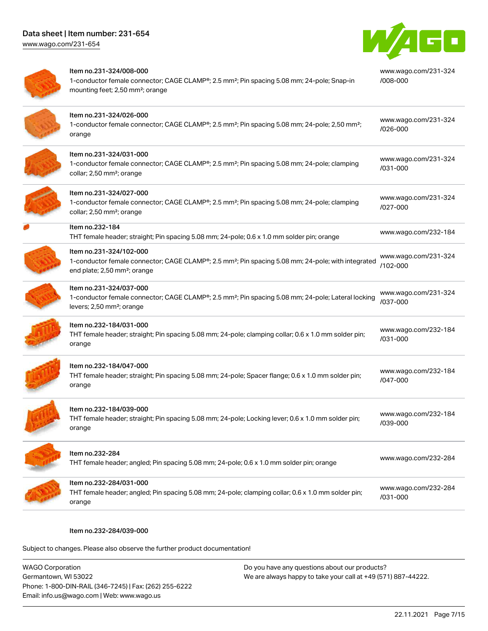

| Item no.231-324/008-000<br>1-conductor female connector; CAGE CLAMP®; 2.5 mm <sup>2</sup> ; Pin spacing 5.08 mm; 24-pole; Snap-in<br>mounting feet; 2,50 mm <sup>2</sup> ; orange     | www.wago.com/231-324<br>/008-000 |
|---------------------------------------------------------------------------------------------------------------------------------------------------------------------------------------|----------------------------------|
| Item no.231-324/026-000<br>1-conductor female connector; CAGE CLAMP®; 2.5 mm <sup>2</sup> ; Pin spacing 5.08 mm; 24-pole; 2,50 mm <sup>2</sup> ;<br>orange                            | www.wago.com/231-324<br>/026-000 |
| Item no.231-324/031-000<br>1-conductor female connector; CAGE CLAMP®; 2.5 mm <sup>2</sup> ; Pin spacing 5.08 mm; 24-pole; clamping<br>collar; 2,50 mm <sup>2</sup> ; orange           | www.wago.com/231-324<br>/031-000 |
| Item no.231-324/027-000<br>1-conductor female connector; CAGE CLAMP®; 2.5 mm <sup>2</sup> ; Pin spacing 5.08 mm; 24-pole; clamping<br>collar; 2,50 mm <sup>2</sup> ; orange           | www.wago.com/231-324<br>/027-000 |
| Item no.232-184<br>THT female header; straight; Pin spacing 5.08 mm; 24-pole; 0.6 x 1.0 mm solder pin; orange                                                                         | www.wago.com/232-184             |
| Item no.231-324/102-000<br>1-conductor female connector; CAGE CLAMP®; 2.5 mm <sup>2</sup> ; Pin spacing 5.08 mm; 24-pole; with integrated<br>end plate; 2,50 mm <sup>2</sup> ; orange | www.wago.com/231-324<br>/102-000 |
| Item no.231-324/037-000<br>1-conductor female connector; CAGE CLAMP®; 2.5 mm <sup>2</sup> ; Pin spacing 5.08 mm; 24-pole; Lateral locking<br>levers; 2,50 mm <sup>2</sup> ; orange    | www.wago.com/231-324<br>/037-000 |
| Item no.232-184/031-000<br>THT female header; straight; Pin spacing 5.08 mm; 24-pole; clamping collar; 0.6 x 1.0 mm solder pin;<br>orange                                             | www.wago.com/232-184<br>/031-000 |
| Item no.232-184/047-000<br>THT female header; straight; Pin spacing 5.08 mm; 24-pole; Spacer flange; 0.6 x 1.0 mm solder pin;<br>orange                                               | www.wago.com/232-184<br>/047-000 |
| Item no.232-184/039-000<br>THT female header; straight; Pin spacing 5.08 mm; 24-pole; Locking lever; 0.6 x 1.0 mm solder pin;<br>orange                                               | www.wago.com/232-184<br>/039-000 |
| Item no.232-284<br>THT female header; angled; Pin spacing 5.08 mm; 24-pole; 0.6 x 1.0 mm solder pin; orange                                                                           | www.wago.com/232-284             |
| Item no.232-284/031-000<br>THT female header; angled; Pin spacing 5.08 mm; 24-pole; clamping collar; 0.6 x 1.0 mm solder pin;<br>orange                                               | www.wago.com/232-284<br>/031-000 |

#### Item no.232-284/039-000

Subject to changes. Please also observe the further product documentation!

WAGO Corporation Germantown, WI 53022 Phone: 1-800-DIN-RAIL (346-7245) | Fax: (262) 255-6222 Email: info.us@wago.com | Web: www.wago.us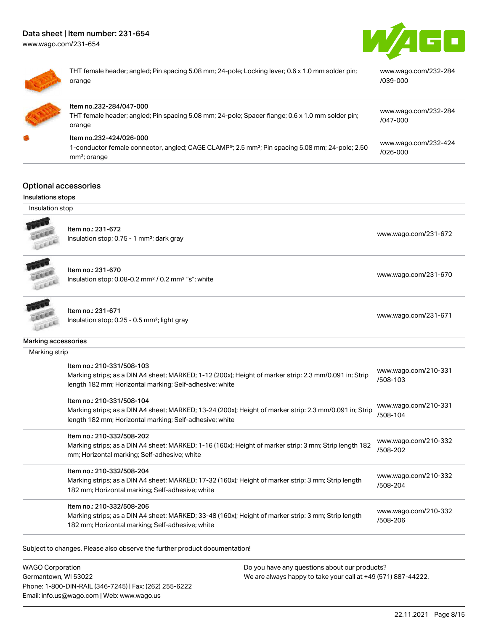mm²; orange

Item no.232-284/047-000 THT female header; angled;

[www.wago.com/231-654](http://www.wago.com/231-654)





| THT female header; angled; Pin spacing 5.08 mm; 24-pole; Locking lever; 0.6 x 1.0 mm solder pin;<br>www.wago.com/232-284<br>/039-000<br>orange |
|------------------------------------------------------------------------------------------------------------------------------------------------|
|------------------------------------------------------------------------------------------------------------------------------------------------|

| ltem no.232-284/047-000<br>THT female header; angled; Pin spacing 5.08 mm; 24-pole; Spacer flange; 0.6 x 1.0 mm solder pin;<br>orange               | www.wago.com/232-284<br>$1047 - 000$ |
|-----------------------------------------------------------------------------------------------------------------------------------------------------|--------------------------------------|
| Item no.232-424/026-000<br>1-conductor female connector, angled; CAGE CLAMP <sup>®</sup> ; 2.5 mm <sup>2</sup> ; Pin spacing 5.08 mm; 24-pole; 2,50 | www.wago.com/232-424                 |
|                                                                                                                                                     | ഗാഭ-ഗഗ                               |

## Optional accessories

#### Insulations stops

Insulation stop



Item no.: 231-672 Insulation stop; 0.75 - 1 mm<sup>2</sup>; dark gray [www.wago.com/231-672](http://www.wago.com/231-672) msulation stop; 0.75 - 1 mm<sup>2</sup>; dark gray

Item no.: 231-670 Insulation stop; 0.08-0.2 mm<sup>2</sup>/0.2 mm<sup>2</sup> "s"; white [www.wago.com/231-670](http://www.wago.com/231-670) www.wago.com/231-670 LEEEE



## n no.: 231-671

1110.. 251-071<br>Ilation stop; 0.25 - 0.5 mm²; light gray [www.wago.com/231-671](http://www.wago.com/231-671)

[/026-000](https://www.wago.com/232-424/026-000)

| Iten |
|------|
| Insu |

| Marking accessories |                                                                                                                                                                                                 |                                     |
|---------------------|-------------------------------------------------------------------------------------------------------------------------------------------------------------------------------------------------|-------------------------------------|
| Marking strip       |                                                                                                                                                                                                 |                                     |
|                     | Item no.: 210-331/508-103<br>Marking strips; as a DIN A4 sheet; MARKED; 1-12 (200x); Height of marker strip: 2.3 mm/0.091 in; Strip<br>length 182 mm; Horizontal marking; Self-adhesive; white  | www.wago.com/210-331<br>/508-103    |
|                     | Item no.: 210-331/508-104<br>Marking strips; as a DIN A4 sheet; MARKED; 13-24 (200x); Height of marker strip: 2.3 mm/0.091 in; Strip<br>length 182 mm; Horizontal marking; Self-adhesive; white | www.wago.com/210-331<br>/508-104    |
|                     | Item no.: 210-332/508-202<br>Marking strips; as a DIN A4 sheet; MARKED; 1-16 (160x); Height of marker strip: 3 mm; Strip length 182<br>mm; Horizontal marking; Self-adhesive; white             | www.wago.com/210-332<br>/508-202    |
|                     | Item no.: 210-332/508-204<br>Marking strips; as a DIN A4 sheet; MARKED; 17-32 (160x); Height of marker strip: 3 mm; Strip length<br>182 mm; Horizontal marking; Self-adhesive; white            | www.wago.com/210-332<br>/508-204    |
|                     | Item no.: 210-332/508-206<br>Marking strips; as a DIN A4 sheet; MARKED; 33-48 (160x); Height of marker strip: 3 mm; Strip length                                                                | www.wago.com/210-332<br>$1 - 0 - 0$ |

Subject to changes. Please also observe the further product documentation!

182 mm; Horizontal marking; Self-adhesive; white

WAGO Corporation Germantown, WI 53022 Phone: 1-800-DIN-RAIL (346-7245) | Fax: (262) 255-6222 Email: info.us@wago.com | Web: www.wago.us

Do you have any questions about our products? We are always happy to take your call at +49 (571) 887-44222.

[/508-206](http://www.wago.com/210-332/508-206)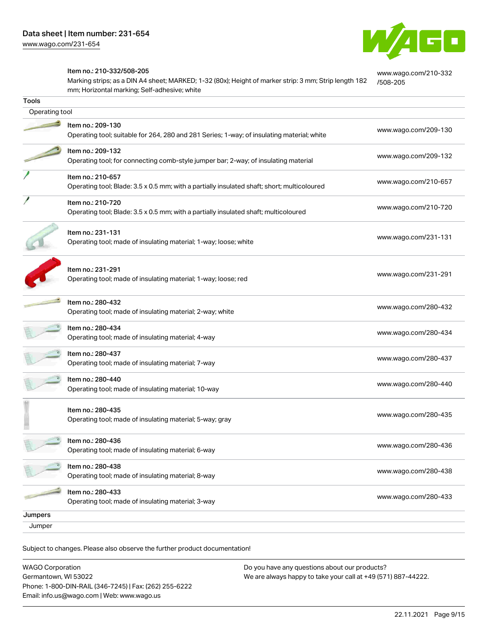

[www.wago.com/210-332](http://www.wago.com/210-332/508-205)

[/508-205](http://www.wago.com/210-332/508-205)

#### Item no.: 210-332/508-205

Marking strips; as a DIN A4 sheet; MARKED; 1-32 (80x); Height of marker strip: 3 mm; Strip length 182 mm; Horizontal marking; Self-adhesive; white

| Tools          |                                                                                                                  |                      |
|----------------|------------------------------------------------------------------------------------------------------------------|----------------------|
| Operating tool |                                                                                                                  |                      |
|                | Item no.: 209-130<br>Operating tool; suitable for 264, 280 and 281 Series; 1-way; of insulating material; white  | www.wago.com/209-130 |
|                | Item no.: 209-132<br>Operating tool; for connecting comb-style jumper bar; 2-way; of insulating material         | www.wago.com/209-132 |
|                | Item no.: 210-657<br>Operating tool; Blade: 3.5 x 0.5 mm; with a partially insulated shaft; short; multicoloured | www.wago.com/210-657 |
|                | Item no.: 210-720<br>Operating tool; Blade: 3.5 x 0.5 mm; with a partially insulated shaft; multicoloured        | www.wago.com/210-720 |
|                | Item no.: 231-131<br>Operating tool; made of insulating material; 1-way; loose; white                            | www.wago.com/231-131 |
|                | Item no.: 231-291<br>Operating tool; made of insulating material; 1-way; loose; red                              | www.wago.com/231-291 |
|                | Item no.: 280-432<br>Operating tool; made of insulating material; 2-way; white                                   | www.wago.com/280-432 |
|                | Item no.: 280-434<br>Operating tool; made of insulating material; 4-way                                          | www.wago.com/280-434 |
|                | Item no.: 280-437<br>Operating tool; made of insulating material; 7-way                                          | www.wago.com/280-437 |
|                | Item no.: 280-440<br>Operating tool; made of insulating material; 10-way                                         | www.wago.com/280-440 |
|                | Item no.: 280-435<br>Operating tool; made of insulating material; 5-way; gray                                    | www.wago.com/280-435 |
|                | Item no.: 280-436<br>Operating tool; made of insulating material; 6-way                                          | www.wago.com/280-436 |
|                | Item no.: 280-438<br>Operating tool; made of insulating material; 8-way                                          | www.wago.com/280-438 |
|                | Item no.: 280-433<br>Operating tool; made of insulating material; 3-way                                          | www.wago.com/280-433 |
| Jumpers        |                                                                                                                  |                      |
| Jumper         |                                                                                                                  |                      |

Subject to changes. Please also observe the further product documentation!

WAGO Corporation Germantown, WI 53022 Phone: 1-800-DIN-RAIL (346-7245) | Fax: (262) 255-6222 Email: info.us@wago.com | Web: www.wago.us Do you have any questions about our products? We are always happy to take your call at +49 (571) 887-44222.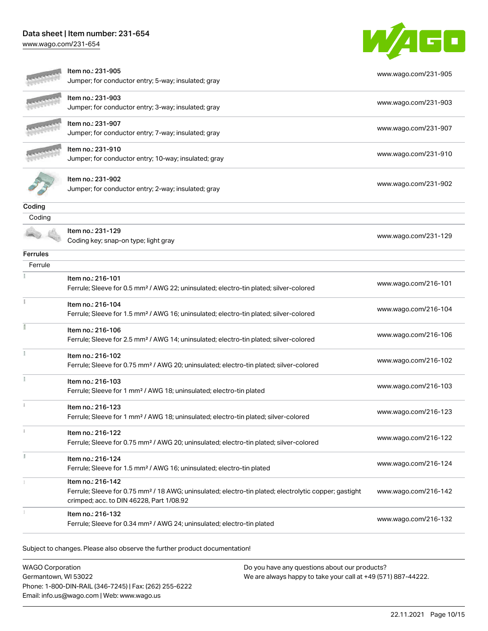[www.wago.com/231-654](http://www.wago.com/231-654)



|                      | Item no.: 231-905<br>Jumper; for conductor entry; 5-way; insulated; gray                                                               | www.wago.com/231-905 |
|----------------------|----------------------------------------------------------------------------------------------------------------------------------------|----------------------|
|                      |                                                                                                                                        |                      |
|                      | ltem no.: 231-903                                                                                                                      | www.wago.com/231-903 |
|                      | Jumper; for conductor entry; 3-way; insulated; gray                                                                                    |                      |
|                      | Item no.: 231-907                                                                                                                      | www.wago.com/231-907 |
|                      | Jumper; for conductor entry; 7-way; insulated; gray                                                                                    |                      |
|                      | Item no.: 231-910                                                                                                                      | www.wago.com/231-910 |
|                      | Jumper; for conductor entry; 10-way; insulated; gray                                                                                   |                      |
|                      | Item no.: 231-902                                                                                                                      |                      |
|                      | Jumper; for conductor entry; 2-way; insulated; gray                                                                                    | www.wago.com/231-902 |
|                      |                                                                                                                                        |                      |
| Coding               |                                                                                                                                        |                      |
| $\overline{C}$ oding |                                                                                                                                        |                      |
|                      | Item no.: 231-129                                                                                                                      | www.wago.com/231-129 |
|                      | Coding key; snap-on type; light gray                                                                                                   |                      |
| Ferrules             |                                                                                                                                        |                      |
| Ferrule              |                                                                                                                                        |                      |
|                      | Item no.: 216-101                                                                                                                      | www.wago.com/216-101 |
|                      | Ferrule; Sleeve for 0.5 mm <sup>2</sup> / AWG 22; uninsulated; electro-tin plated; silver-colored                                      |                      |
|                      | Item no.: 216-104                                                                                                                      | www.wago.com/216-104 |
|                      | Ferrule; Sleeve for 1.5 mm <sup>2</sup> / AWG 16; uninsulated; electro-tin plated; silver-colored                                      |                      |
|                      | Item no.: 216-106                                                                                                                      | www.wago.com/216-106 |
|                      | Ferrule; Sleeve for 2.5 mm <sup>2</sup> / AWG 14; uninsulated; electro-tin plated; silver-colored                                      |                      |
|                      | Item no.: 216-102                                                                                                                      |                      |
|                      | Ferrule; Sleeve for 0.75 mm <sup>2</sup> / AWG 20; uninsulated; electro-tin plated; silver-colored                                     | www.wago.com/216-102 |
|                      | Item no.: 216-103                                                                                                                      |                      |
|                      | Ferrule; Sleeve for 1 mm <sup>2</sup> / AWG 18; uninsulated; electro-tin plated                                                        | www.wago.com/216-103 |
|                      | Item no.: 216-123                                                                                                                      |                      |
|                      | Ferrule; Sleeve for 1 mm <sup>2</sup> / AWG 18; uninsulated; electro-tin plated; silver-colored                                        | www.wago.com/216-123 |
|                      | Item no.: 216-122                                                                                                                      |                      |
|                      | Ferrule; Sleeve for 0.75 mm <sup>2</sup> / AWG 20; uninsulated; electro-tin plated; silver-colored                                     | www.wago.com/216-122 |
|                      |                                                                                                                                        |                      |
|                      | Item no.: 216-124<br>Ferrule; Sleeve for 1.5 mm <sup>2</sup> / AWG 16; uninsulated; electro-tin plated                                 | www.wago.com/216-124 |
|                      |                                                                                                                                        |                      |
|                      | Item no.: 216-142<br>Ferrule; Sleeve for 0.75 mm <sup>2</sup> / 18 AWG; uninsulated; electro-tin plated; electrolytic copper; gastight | www.wago.com/216-142 |
|                      | crimped; acc. to DIN 46228, Part 1/08.92                                                                                               |                      |
|                      | Item no.: 216-132                                                                                                                      |                      |
|                      | Ferrule; Sleeve for 0.34 mm <sup>2</sup> / AWG 24; uninsulated; electro-tin plated                                                     | www.wago.com/216-132 |
|                      |                                                                                                                                        |                      |

Subject to changes. Please also observe the further product documentation!

WAGO Corporation Germantown, WI 53022 Phone: 1-800-DIN-RAIL (346-7245) | Fax: (262) 255-6222 Email: info.us@wago.com | Web: www.wago.us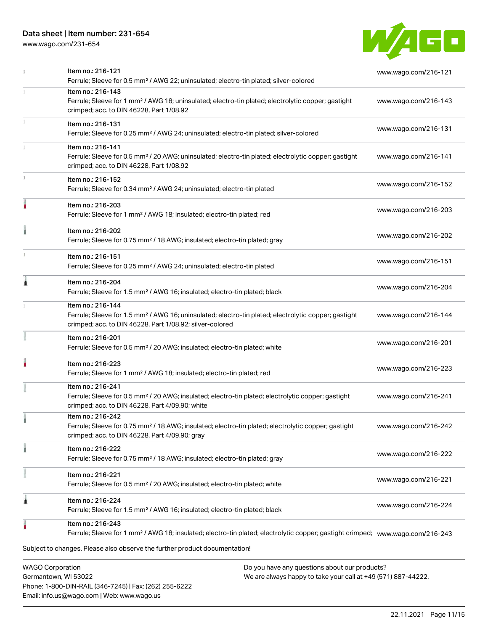[www.wago.com/231-654](http://www.wago.com/231-654)



| Item no.: 216-121<br>Ferrule; Sleeve for 0.5 mm <sup>2</sup> / AWG 22; uninsulated; electro-tin plated; silver-colored                                                                            | www.wago.com/216-121                          |  |  |
|---------------------------------------------------------------------------------------------------------------------------------------------------------------------------------------------------|-----------------------------------------------|--|--|
| Item no.: 216-143<br>Ferrule; Sleeve for 1 mm <sup>2</sup> / AWG 18; uninsulated; electro-tin plated; electrolytic copper; gastight<br>crimped; acc. to DIN 46228, Part 1/08.92                   | www.wago.com/216-143                          |  |  |
| Item no.: 216-131<br>Ferrule; Sleeve for 0.25 mm <sup>2</sup> / AWG 24; uninsulated; electro-tin plated; silver-colored                                                                           | www.wago.com/216-131                          |  |  |
| Item no.: 216-141<br>Ferrule; Sleeve for 0.5 mm <sup>2</sup> / 20 AWG; uninsulated; electro-tin plated; electrolytic copper; gastight<br>crimped; acc. to DIN 46228, Part 1/08.92                 | www.wago.com/216-141                          |  |  |
| Item no.: 216-152<br>Ferrule; Sleeve for 0.34 mm <sup>2</sup> / AWG 24; uninsulated; electro-tin plated                                                                                           | www.wago.com/216-152                          |  |  |
| Item no.: 216-203<br>Ferrule; Sleeve for 1 mm <sup>2</sup> / AWG 18; insulated; electro-tin plated; red                                                                                           | www.wago.com/216-203                          |  |  |
| Item no.: 216-202<br>Ferrule; Sleeve for 0.75 mm <sup>2</sup> / 18 AWG; insulated; electro-tin plated; gray                                                                                       | www.wago.com/216-202                          |  |  |
| Item no.: 216-151<br>Ferrule; Sleeve for 0.25 mm <sup>2</sup> / AWG 24; uninsulated; electro-tin plated                                                                                           | www.wago.com/216-151                          |  |  |
| Item no.: 216-204<br>Ferrule; Sleeve for 1.5 mm <sup>2</sup> / AWG 16; insulated; electro-tin plated; black                                                                                       | www.wago.com/216-204                          |  |  |
| Item no.: 216-144<br>Ferrule; Sleeve for 1.5 mm <sup>2</sup> / AWG 16; uninsulated; electro-tin plated; electrolytic copper; gastight<br>crimped; acc. to DIN 46228, Part 1/08.92; silver-colored | www.wago.com/216-144                          |  |  |
| Item no.: 216-201<br>Ferrule; Sleeve for 0.5 mm <sup>2</sup> / 20 AWG; insulated; electro-tin plated; white                                                                                       | www.wago.com/216-201                          |  |  |
| Item no.: 216-223<br>Ferrule; Sleeve for 1 mm <sup>2</sup> / AWG 18; insulated; electro-tin plated; red                                                                                           | www.wago.com/216-223                          |  |  |
| Item no.: 216-241<br>Ferrule; Sleeve for 0.5 mm <sup>2</sup> / 20 AWG; insulated; electro-tin plated; electrolytic copper; gastight<br>crimped; acc. to DIN 46228, Part 4/09.90; white            | www.wago.com/216-241                          |  |  |
| Item no.: 216-242<br>Ferrule; Sleeve for 0.75 mm <sup>2</sup> / 18 AWG; insulated; electro-tin plated; electrolytic copper; gastight<br>crimped; acc. to DIN 46228, Part 4/09.90; gray            | www.wago.com/216-242                          |  |  |
| Item no.: 216-222<br>Ferrule; Sleeve for 0.75 mm <sup>2</sup> / 18 AWG; insulated; electro-tin plated; gray                                                                                       | www.wago.com/216-222                          |  |  |
| Item no.: 216-221<br>Ferrule; Sleeve for 0.5 mm <sup>2</sup> / 20 AWG; insulated; electro-tin plated; white                                                                                       | www.wago.com/216-221                          |  |  |
| Item no.: 216-224<br>Ferrule; Sleeve for 1.5 mm <sup>2</sup> / AWG 16; insulated; electro-tin plated; black                                                                                       | www.wago.com/216-224                          |  |  |
| Item no.: 216-243<br>Ferrule; Sleeve for 1 mm <sup>2</sup> / AWG 18; insulated; electro-tin plated; electrolytic copper; gastight crimped; www.waqo.com/216-243                                   |                                               |  |  |
| Subject to changes. Please also observe the further product documentation!                                                                                                                        |                                               |  |  |
| <b>WAGO Corporation</b>                                                                                                                                                                           | Do you have any questions about our products? |  |  |

Germantown, WI 53022 Phone: 1-800-DIN-RAIL (346-7245) | Fax: (262) 255-6222 Email: info.us@wago.com | Web: www.wago.us

We are always happy to take your call at +49 (571) 887-44222.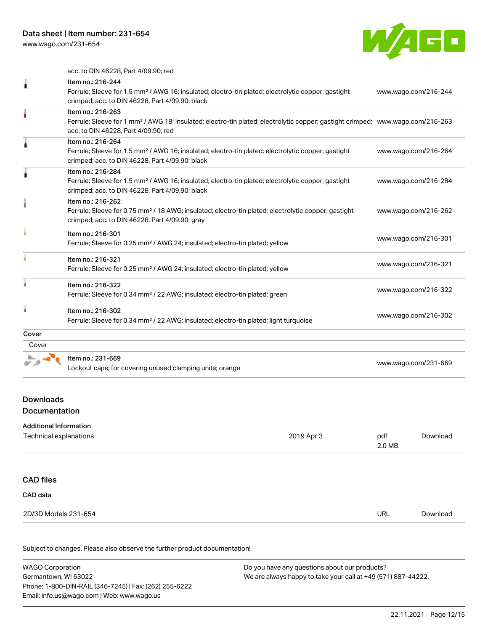[www.wago.com/231-654](http://www.wago.com/231-654)



acc. to DIN 46228, Part 4/09.90; red

|       | Item no.: 216-244<br>Ferrule; Sleeve for 1.5 mm <sup>2</sup> / AWG 16; insulated; electro-tin plated; electrolytic copper; gastight<br>crimped; acc. to DIN 46228, Part 4/09.90; black                  | www.wago.com/216-244 |
|-------|---------------------------------------------------------------------------------------------------------------------------------------------------------------------------------------------------------|----------------------|
|       | Item no.: 216-263<br>Ferrule; Sleeve for 1 mm <sup>2</sup> / AWG 18; insulated; electro-tin plated; electrolytic copper; gastight crimped; www.wago.com/216-263<br>acc. to DIN 46228, Part 4/09.90; red |                      |
|       | Item no.: 216-264<br>Ferrule; Sleeve for 1.5 mm <sup>2</sup> / AWG 16; insulated; electro-tin plated; electrolytic copper; gastight<br>crimped; acc. to DIN 46228, Part 4/09.90; black                  | www.wago.com/216-264 |
|       | Item no.: 216-284<br>Ferrule; Sleeve for 1.5 mm <sup>2</sup> / AWG 16; insulated; electro-tin plated; electrolytic copper; gastight<br>crimped; acc. to DIN 46228, Part 4/09.90; black                  | www.wago.com/216-284 |
|       | Item no.: 216-262<br>Ferrule; Sleeve for 0.75 mm <sup>2</sup> / 18 AWG; insulated; electro-tin plated; electrolytic copper; gastight<br>crimped; acc. to DIN 46228, Part 4/09.90; gray                  | www.wago.com/216-262 |
|       | Item no.: 216-301<br>Ferrule; Sleeve for 0.25 mm <sup>2</sup> / AWG 24; insulated; electro-tin plated; yellow                                                                                           | www.wago.com/216-301 |
|       | Item no.: 216-321<br>Ferrule; Sleeve for 0.25 mm <sup>2</sup> / AWG 24; insulated; electro-tin plated; yellow                                                                                           | www.wago.com/216-321 |
|       | Item no.: 216-322<br>Ferrule; Sleeve for 0.34 mm <sup>2</sup> / 22 AWG; insulated; electro-tin plated; green                                                                                            | www.wago.com/216-322 |
|       | Item no.: 216-302<br>Ferrule; Sleeve for 0.34 mm <sup>2</sup> / 22 AWG; insulated; electro-tin plated; light turquoise                                                                                  | www.wago.com/216-302 |
| Cover |                                                                                                                                                                                                         |                      |
| Cover |                                                                                                                                                                                                         |                      |
|       | Item no.: 231-669<br>Lockout caps; for covering unused clamping units; orange                                                                                                                           | www.wago.com/231-669 |

## Additional Information

| Additional Information |            |            |          |
|------------------------|------------|------------|----------|
| Technical explanations | 2019 Apr 3 | pdf        | Download |
|                        |            | 2.0 MB     |          |
|                        |            |            |          |
| <b>CAD files</b>       |            |            |          |
| CAD data               |            |            |          |
| 2D/3D Models 231-654   |            | <b>URL</b> | Download |
|                        |            |            |          |

| <b>WAGO Corporation</b>                                | Do you have any questions about our products?                 |  |
|--------------------------------------------------------|---------------------------------------------------------------|--|
| Germantown, WI 53022                                   | We are always happy to take your call at +49 (571) 887-44222. |  |
| Phone: 1-800-DIN-RAIL (346-7245)   Fax: (262) 255-6222 |                                                               |  |
| Email: info.us@wago.com   Web: www.wago.us             |                                                               |  |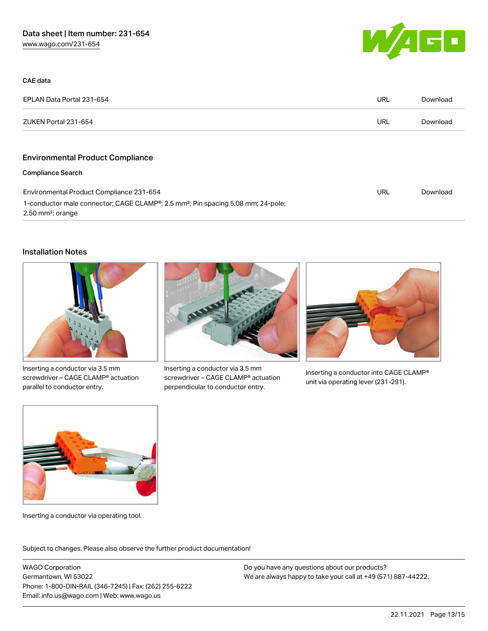

| CAE data                                                                                                                                     |     |          |
|----------------------------------------------------------------------------------------------------------------------------------------------|-----|----------|
| EPLAN Data Portal 231-654                                                                                                                    | URL | Download |
| ZUKEN Portal 231-654                                                                                                                         | URL | Download |
|                                                                                                                                              |     |          |
| <b>Environmental Product Compliance</b>                                                                                                      |     |          |
| <b>Compliance Search</b>                                                                                                                     |     |          |
| Environmental Product Compliance 231-654                                                                                                     | URL | Download |
| 1-conductor male connector; CAGE CLAMP <sup>®</sup> ; 2.5 mm <sup>2</sup> ; Pin spacing 5.08 mm; 24-pole;<br>$2,50$ mm <sup>2</sup> ; orange |     |          |

#### Installation Notes



Inserting a conductor via 3.5 mm screwdriver – CAGE CLAMP® actuation parallel to conductor entry.



Inserting a conductor via 3.5 mm screwdriver – CAGE CLAMP® actuation perpendicular to conductor entry.



Inserting a conductor into CAGE CLAMP® unit via operating lever (231-291).



Inserting a conductor via operating tool.

Subject to changes. Please also observe the further product documentation!

WAGO Corporation Germantown, WI 53022 Phone: 1-800-DIN-RAIL (346-7245) | Fax: (262) 255-6222 Email: info.us@wago.com | Web: www.wago.us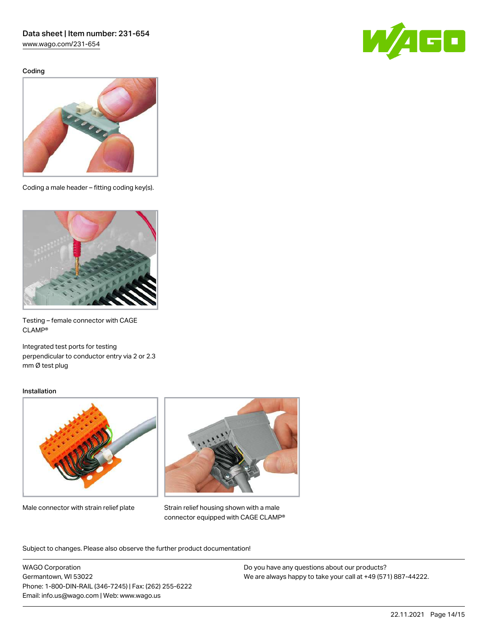[www.wago.com/231-654](http://www.wago.com/231-654)

Coding





Coding a male header – fitting coding key(s).



Testing – female connector with CAGE CLAMP®

Integrated test ports for testing perpendicular to conductor entry via 2 or 2.3 mm Ø test plug

#### Installation



Male connector with strain relief plate



Strain relief housing shown with a male connector equipped with CAGE CLAMP®

Subject to changes. Please also observe the further product documentation!

WAGO Corporation Germantown, WI 53022 Phone: 1-800-DIN-RAIL (346-7245) | Fax: (262) 255-6222 Email: info.us@wago.com | Web: www.wago.us